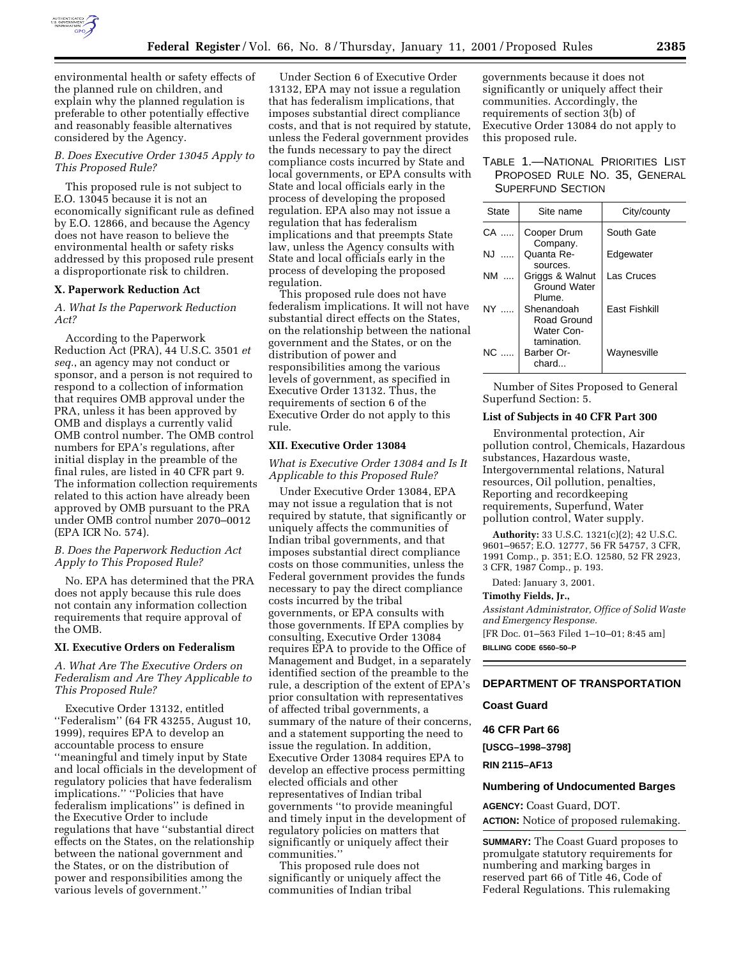

environmental health or safety effects of the planned rule on children, and explain why the planned regulation is preferable to other potentially effective and reasonably feasible alternatives considered by the Agency.

# *B. Does Executive Order 13045 Apply to This Proposed Rule?*

This proposed rule is not subject to E.O. 13045 because it is not an economically significant rule as defined by E.O. 12866, and because the Agency does not have reason to believe the environmental health or safety risks addressed by this proposed rule present a disproportionate risk to children.

#### **X. Paperwork Reduction Act**

# *A. What Is the Paperwork Reduction Act?*

According to the Paperwork Reduction Act (PRA), 44 U.S.C. 3501 *et seq.*, an agency may not conduct or sponsor, and a person is not required to respond to a collection of information that requires OMB approval under the PRA, unless it has been approved by OMB and displays a currently valid OMB control number. The OMB control numbers for EPA's regulations, after initial display in the preamble of the final rules, are listed in 40 CFR part 9. The information collection requirements related to this action have already been approved by OMB pursuant to the PRA under OMB control number 2070–0012 (EPA ICR No. 574).

# *B. Does the Paperwork Reduction Act Apply to This Proposed Rule?*

No. EPA has determined that the PRA does not apply because this rule does not contain any information collection requirements that require approval of the OMB.

## **XI. Executive Orders on Federalism**

# *A. What Are The Executive Orders on Federalism and Are They Applicable to This Proposed Rule?*

Executive Order 13132, entitled ''Federalism'' (64 FR 43255, August 10, 1999), requires EPA to develop an accountable process to ensure ''meaningful and timely input by State and local officials in the development of regulatory policies that have federalism implications.'' ''Policies that have federalism implications'' is defined in the Executive Order to include regulations that have ''substantial direct effects on the States, on the relationship between the national government and the States, or on the distribution of power and responsibilities among the various levels of government.''

Under Section 6 of Executive Order 13132, EPA may not issue a regulation that has federalism implications, that imposes substantial direct compliance costs, and that is not required by statute, unless the Federal government provides the funds necessary to pay the direct compliance costs incurred by State and local governments, or EPA consults with State and local officials early in the process of developing the proposed regulation. EPA also may not issue a regulation that has federalism implications and that preempts State law, unless the Agency consults with State and local officials early in the process of developing the proposed regulation.

This proposed rule does not have federalism implications. It will not have substantial direct effects on the States, on the relationship between the national government and the States, or on the distribution of power and responsibilities among the various levels of government, as specified in Executive Order 13132. Thus, the requirements of section 6 of the Executive Order do not apply to this rule.

# **XII. Executive Order 13084**

*What is Executive Order 13084 and Is It Applicable to this Proposed Rule?*

Under Executive Order 13084, EPA may not issue a regulation that is not required by statute, that significantly or uniquely affects the communities of Indian tribal governments, and that imposes substantial direct compliance costs on those communities, unless the Federal government provides the funds necessary to pay the direct compliance costs incurred by the tribal governments, or EPA consults with those governments. If EPA complies by consulting, Executive Order 13084 requires EPA to provide to the Office of Management and Budget, in a separately identified section of the preamble to the rule, a description of the extent of EPA's prior consultation with representatives of affected tribal governments, a summary of the nature of their concerns, and a statement supporting the need to issue the regulation. In addition, Executive Order 13084 requires EPA to develop an effective process permitting elected officials and other representatives of Indian tribal governments ''to provide meaningful and timely input in the development of regulatory policies on matters that significantly or uniquely affect their communities.''

This proposed rule does not significantly or uniquely affect the communities of Indian tribal

governments because it does not significantly or uniquely affect their communities. Accordingly, the requirements of section 3(b) of Executive Order 13084 do not apply to this proposed rule.

# TABLE 1.—NATIONAL PRIORITIES LIST PROPOSED RULE NO. 35, GENERAL SUPERFUND SECTION

| <b>State</b> | Site name                                        | City/county          |
|--------------|--------------------------------------------------|----------------------|
| CA           | Cooper Drum<br>Company.                          | South Gate           |
| N, J         | Quanta Re-<br>sources.                           | Edgewater            |
| NM           | Griggs & Walnut<br><b>Ground Water</b><br>Plume. | Las Cruces           |
| NY L         | Shenandoah<br>Road Ground<br>Water Con-          | <b>Fast Fishkill</b> |
| NC.          | tamination.<br>Barber Or-<br>chard               | Waynesville          |

Number of Sites Proposed to General Superfund Section: 5.

# **List of Subjects in 40 CFR Part 300**

Environmental protection, Air pollution control, Chemicals, Hazardous substances, Hazardous waste, Intergovernmental relations, Natural resources, Oil pollution, penalties, Reporting and recordkeeping requirements, Superfund, Water pollution control, Water supply.

**Authority:** 33 U.S.C. 1321(c)(2); 42 U.S.C. 9601–9657; E.O. 12777, 56 FR 54757, 3 CFR, 1991 Comp., p. 351; E.O. 12580, 52 FR 2923, 3 CFR, 1987 Comp., p. 193.

Dated: January 3, 2001.

# **Timothy Fields, Jr.,**

*Assistant Administrator, Office of Solid Waste and Emergency Response.*

[FR Doc. 01–563 Filed 1–10–01; 8:45 am]

**BILLING CODE 6560–50–P**

# **DEPARTMENT OF TRANSPORTATION**

## **Coast Guard**

# **46 CFR Part 66**

**[USCG–1998–3798]**

**RIN 2115–AF13**

#### **Numbering of Undocumented Barges**

**AGENCY:** Coast Guard, DOT. **ACTION:** Notice of proposed rulemaking.

**SUMMARY:** The Coast Guard proposes to promulgate statutory requirements for numbering and marking barges in reserved part 66 of Title 46, Code of Federal Regulations. This rulemaking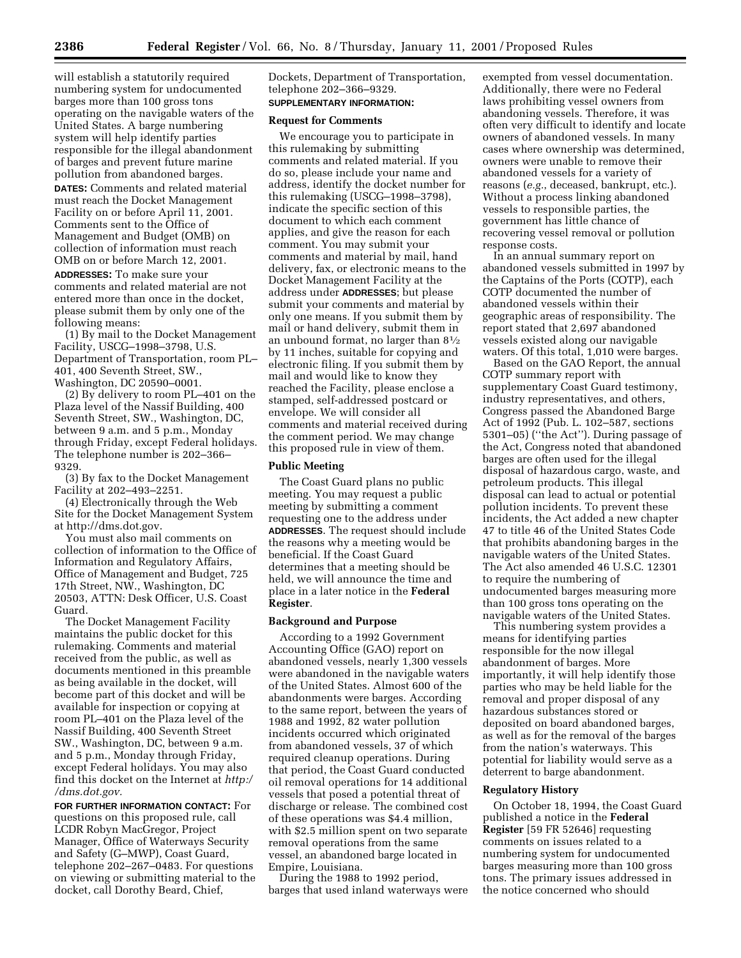will establish a statutorily required numbering system for undocumented barges more than 100 gross tons operating on the navigable waters of the United States. A barge numbering system will help identify parties responsible for the illegal abandonment of barges and prevent future marine pollution from abandoned barges.

**DATES:** Comments and related material must reach the Docket Management Facility on or before April 11, 2001. Comments sent to the Office of Management and Budget (OMB) on collection of information must reach OMB on or before March 12, 2001.

**ADDRESSES:** To make sure your comments and related material are not entered more than once in the docket, please submit them by only one of the following means:

(1) By mail to the Docket Management Facility, USCG–1998–3798, U.S. Department of Transportation, room PL– 401, 400 Seventh Street, SW., Washington, DC 20590–0001.

(2) By delivery to room PL–401 on the Plaza level of the Nassif Building, 400 Seventh Street, SW., Washington, DC, between 9 a.m. and 5 p.m., Monday through Friday, except Federal holidays. The telephone number is 202–366– 9329.

(3) By fax to the Docket Management Facility at 202–493–2251.

(4) Electronically through the Web Site for the Docket Management System at http://dms.dot.gov.

You must also mail comments on collection of information to the Office of Information and Regulatory Affairs, Office of Management and Budget, 725 17th Street, NW., Washington, DC 20503, ATTN: Desk Officer, U.S. Coast Guard.

The Docket Management Facility maintains the public docket for this rulemaking. Comments and material received from the public, as well as documents mentioned in this preamble as being available in the docket, will become part of this docket and will be available for inspection or copying at room PL–401 on the Plaza level of the Nassif Building, 400 Seventh Street SW., Washington, DC, between 9 a.m. and 5 p.m., Monday through Friday, except Federal holidays. You may also find this docket on the Internet at *http:/ /dms.dot.gov.*

**FOR FURTHER INFORMATION CONTACT:** For questions on this proposed rule, call LCDR Robyn MacGregor, Project Manager, Office of Waterways Security and Safety (G–MWP), Coast Guard, telephone 202–267–0483. For questions on viewing or submitting material to the docket, call Dorothy Beard, Chief,

Dockets, Department of Transportation, telephone 202–366–9329. **SUPPLEMENTARY INFORMATION:**

# **Request for Comments**

We encourage you to participate in this rulemaking by submitting comments and related material. If you do so, please include your name and address, identify the docket number for this rulemaking (USCG–1998–3798), indicate the specific section of this document to which each comment applies, and give the reason for each comment. You may submit your comments and material by mail, hand delivery, fax, or electronic means to the Docket Management Facility at the address under **ADDRESSES**; but please submit your comments and material by only one means. If you submit them by mail or hand delivery, submit them in an unbound format, no larger than 81⁄2 by 11 inches, suitable for copying and electronic filing. If you submit them by mail and would like to know they reached the Facility, please enclose a stamped, self-addressed postcard or envelope. We will consider all comments and material received during the comment period. We may change this proposed rule in view of them.

# **Public Meeting**

The Coast Guard plans no public meeting. You may request a public meeting by submitting a comment requesting one to the address under **ADDRESSES**. The request should include the reasons why a meeting would be beneficial. If the Coast Guard determines that a meeting should be held, we will announce the time and place in a later notice in the **Federal Register**.

# **Background and Purpose**

According to a 1992 Government Accounting Office (GAO) report on abandoned vessels, nearly 1,300 vessels were abandoned in the navigable waters of the United States. Almost 600 of the abandonments were barges. According to the same report, between the years of 1988 and 1992, 82 water pollution incidents occurred which originated from abandoned vessels, 37 of which required cleanup operations. During that period, the Coast Guard conducted oil removal operations for 14 additional vessels that posed a potential threat of discharge or release. The combined cost of these operations was \$4.4 million, with \$2.5 million spent on two separate removal operations from the same vessel, an abandoned barge located in Empire, Louisiana.

During the 1988 to 1992 period, barges that used inland waterways were

exempted from vessel documentation. Additionally, there were no Federal laws prohibiting vessel owners from abandoning vessels. Therefore, it was often very difficult to identify and locate owners of abandoned vessels. In many cases where ownership was determined, owners were unable to remove their abandoned vessels for a variety of reasons (*e.g.*, deceased, bankrupt, etc.). Without a process linking abandoned vessels to responsible parties, the government has little chance of recovering vessel removal or pollution response costs.

In an annual summary report on abandoned vessels submitted in 1997 by the Captains of the Ports (COTP), each COTP documented the number of abandoned vessels within their geographic areas of responsibility. The report stated that 2,697 abandoned vessels existed along our navigable waters. Of this total, 1,010 were barges.

Based on the GAO Report, the annual COTP summary report with supplementary Coast Guard testimony, industry representatives, and others, Congress passed the Abandoned Barge Act of 1992 (Pub. L. 102–587, sections 5301–05) (''the Act''). During passage of the Act, Congress noted that abandoned barges are often used for the illegal disposal of hazardous cargo, waste, and petroleum products. This illegal disposal can lead to actual or potential pollution incidents. To prevent these incidents, the Act added a new chapter 47 to title 46 of the United States Code that prohibits abandoning barges in the navigable waters of the United States. The Act also amended 46 U.S.C. 12301 to require the numbering of undocumented barges measuring more than 100 gross tons operating on the navigable waters of the United States.

This numbering system provides a means for identifying parties responsible for the now illegal abandonment of barges. More importantly, it will help identify those parties who may be held liable for the removal and proper disposal of any hazardous substances stored or deposited on board abandoned barges, as well as for the removal of the barges from the nation's waterways. This potential for liability would serve as a deterrent to barge abandonment.

#### **Regulatory History**

On October 18, 1994, the Coast Guard published a notice in the **Federal Register** [59 FR 52646] requesting comments on issues related to a numbering system for undocumented barges measuring more than 100 gross tons. The primary issues addressed in the notice concerned who should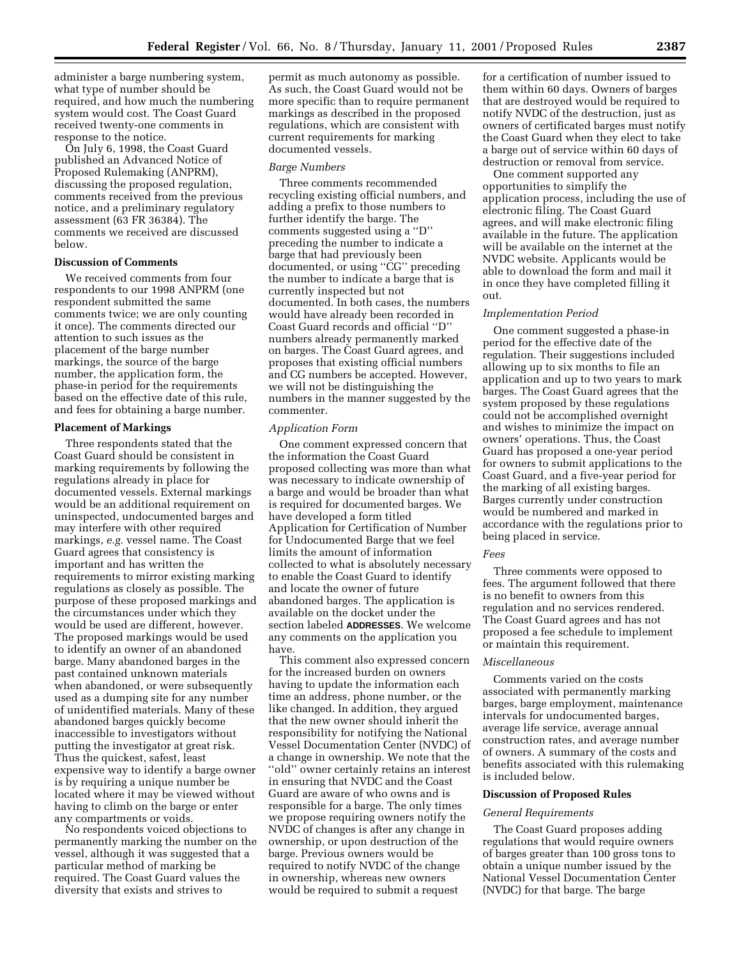administer a barge numbering system, what type of number should be required, and how much the numbering system would cost. The Coast Guard received twenty-one comments in response to the notice.

On July 6, 1998, the Coast Guard published an Advanced Notice of Proposed Rulemaking (ANPRM), discussing the proposed regulation, comments received from the previous notice, and a preliminary regulatory assessment (63 FR 36384). The comments we received are discussed below.

# **Discussion of Comments**

We received comments from four respondents to our 1998 ANPRM (one respondent submitted the same comments twice; we are only counting it once). The comments directed our attention to such issues as the placement of the barge number markings, the source of the barge number, the application form, the phase-in period for the requirements based on the effective date of this rule, and fees for obtaining a barge number.

#### **Placement of Markings**

Three respondents stated that the Coast Guard should be consistent in marking requirements by following the regulations already in place for documented vessels. External markings would be an additional requirement on uninspected, undocumented barges and may interfere with other required markings, *e.g.* vessel name. The Coast Guard agrees that consistency is important and has written the requirements to mirror existing marking regulations as closely as possible. The purpose of these proposed markings and the circumstances under which they would be used are different, however. The proposed markings would be used to identify an owner of an abandoned barge. Many abandoned barges in the past contained unknown materials when abandoned, or were subsequently used as a dumping site for any number of unidentified materials. Many of these abandoned barges quickly become inaccessible to investigators without putting the investigator at great risk. Thus the quickest, safest, least expensive way to identify a barge owner is by requiring a unique number be located where it may be viewed without having to climb on the barge or enter any compartments or voids.

No respondents voiced objections to permanently marking the number on the vessel, although it was suggested that a particular method of marking be required. The Coast Guard values the diversity that exists and strives to

permit as much autonomy as possible. As such, the Coast Guard would not be more specific than to require permanent markings as described in the proposed regulations, which are consistent with current requirements for marking documented vessels.

## *Barge Numbers*

Three comments recommended recycling existing official numbers, and adding a prefix to those numbers to further identify the barge. The comments suggested using a ''D'' preceding the number to indicate a barge that had previously been documented, or using ''CG'' preceding the number to indicate a barge that is currently inspected but not documented. In both cases, the numbers would have already been recorded in Coast Guard records and official ''D'' numbers already permanently marked on barges. The Coast Guard agrees, and proposes that existing official numbers and CG numbers be accepted. However, we will not be distinguishing the numbers in the manner suggested by the commenter.

#### *Application Form*

One comment expressed concern that the information the Coast Guard proposed collecting was more than what was necessary to indicate ownership of a barge and would be broader than what is required for documented barges. We have developed a form titled Application for Certification of Number for Undocumented Barge that we feel limits the amount of information collected to what is absolutely necessary to enable the Coast Guard to identify and locate the owner of future abandoned barges. The application is available on the docket under the section labeled **ADDRESSES**. We welcome any comments on the application you have.

This comment also expressed concern for the increased burden on owners having to update the information each time an address, phone number, or the like changed. In addition, they argued that the new owner should inherit the responsibility for notifying the National Vessel Documentation Center (NVDC) of a change in ownership. We note that the ''old'' owner certainly retains an interest in ensuring that NVDC and the Coast Guard are aware of who owns and is responsible for a barge. The only times we propose requiring owners notify the NVDC of changes is after any change in ownership, or upon destruction of the barge. Previous owners would be required to notify NVDC of the change in ownership, whereas new owners would be required to submit a request

for a certification of number issued to them within 60 days. Owners of barges that are destroyed would be required to notify NVDC of the destruction, just as owners of certificated barges must notify the Coast Guard when they elect to take a barge out of service within 60 days of destruction or removal from service.

One comment supported any opportunities to simplify the application process, including the use of electronic filing. The Coast Guard agrees, and will make electronic filing available in the future. The application will be available on the internet at the NVDC website. Applicants would be able to download the form and mail it in once they have completed filling it out.

#### *Implementation Period*

One comment suggested a phase-in period for the effective date of the regulation. Their suggestions included allowing up to six months to file an application and up to two years to mark barges. The Coast Guard agrees that the system proposed by these regulations could not be accomplished overnight and wishes to minimize the impact on owners' operations. Thus, the Coast Guard has proposed a one-year period for owners to submit applications to the Coast Guard, and a five-year period for the marking of all existing barges. Barges currently under construction would be numbered and marked in accordance with the regulations prior to being placed in service.

#### *Fees*

Three comments were opposed to fees. The argument followed that there is no benefit to owners from this regulation and no services rendered. The Coast Guard agrees and has not proposed a fee schedule to implement or maintain this requirement.

#### *Miscellaneous*

Comments varied on the costs associated with permanently marking barges, barge employment, maintenance intervals for undocumented barges, average life service, average annual construction rates, and average number of owners. A summary of the costs and benefits associated with this rulemaking is included below.

## **Discussion of Proposed Rules**

#### *General Requirements*

The Coast Guard proposes adding regulations that would require owners of barges greater than 100 gross tons to obtain a unique number issued by the National Vessel Documentation Center (NVDC) for that barge. The barge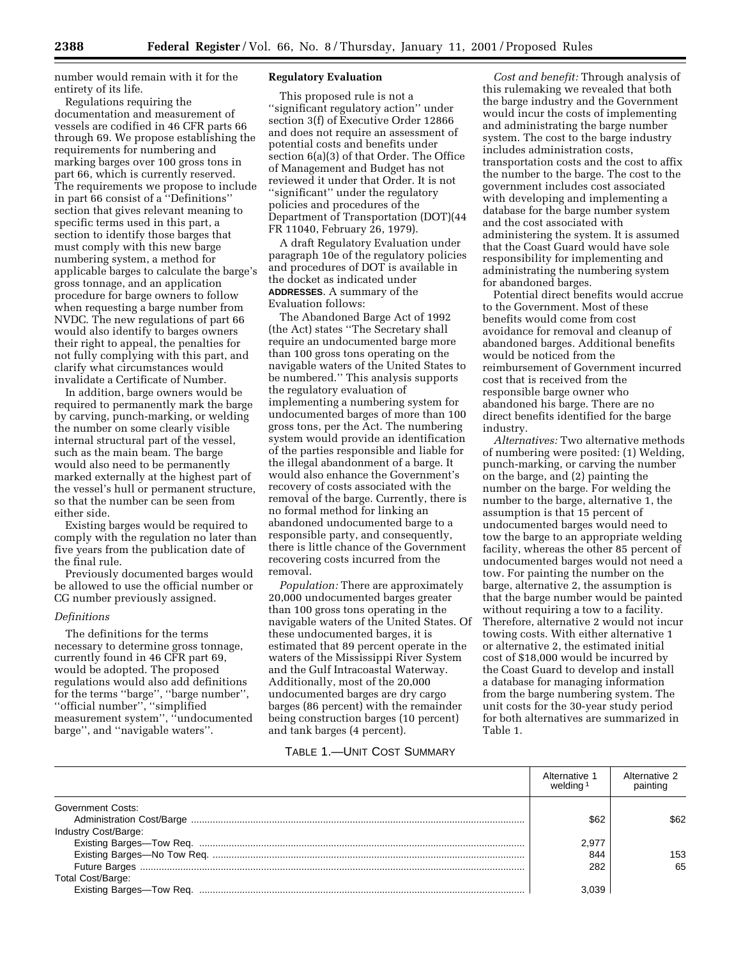number would remain with it for the entirety of its life.

Regulations requiring the documentation and measurement of vessels are codified in 46 CFR parts 66 through 69. We propose establishing the requirements for numbering and marking barges over 100 gross tons in part 66, which is currently reserved. The requirements we propose to include in part 66 consist of a ''Definitions'' section that gives relevant meaning to specific terms used in this part, a section to identify those barges that must comply with this new barge numbering system, a method for applicable barges to calculate the barge's gross tonnage, and an application procedure for barge owners to follow when requesting a barge number from NVDC. The new regulations of part 66 would also identify to barges owners their right to appeal, the penalties for not fully complying with this part, and clarify what circumstances would invalidate a Certificate of Number.

In addition, barge owners would be required to permanently mark the barge by carving, punch-marking, or welding the number on some clearly visible internal structural part of the vessel, such as the main beam. The barge would also need to be permanently marked externally at the highest part of the vessel's hull or permanent structure, so that the number can be seen from either side.

Existing barges would be required to comply with the regulation no later than five years from the publication date of the final rule.

Previously documented barges would be allowed to use the official number or CG number previously assigned.

# *Definitions*

The definitions for the terms necessary to determine gross tonnage, currently found in 46 CFR part 69, would be adopted. The proposed regulations would also add definitions for the terms ''barge'', ''barge number'', ''official number'', ''simplified measurement system'', ''undocumented barge'', and ''navigable waters''.

# **Regulatory Evaluation**

This proposed rule is not a ''significant regulatory action'' under section 3(f) of Executive Order 12866 and does not require an assessment of potential costs and benefits under section 6(a)(3) of that Order. The Office of Management and Budget has not reviewed it under that Order. It is not ''significant'' under the regulatory policies and procedures of the Department of Transportation (DOT)(44 FR 11040, February 26, 1979).

A draft Regulatory Evaluation under paragraph 10e of the regulatory policies and procedures of DOT is available in the docket as indicated under **ADDRESSES**. A summary of the Evaluation follows:

The Abandoned Barge Act of 1992 (the Act) states ''The Secretary shall require an undocumented barge more than 100 gross tons operating on the navigable waters of the United States to be numbered.'' This analysis supports the regulatory evaluation of implementing a numbering system for undocumented barges of more than 100 gross tons, per the Act. The numbering system would provide an identification of the parties responsible and liable for the illegal abandonment of a barge. It would also enhance the Government's recovery of costs associated with the removal of the barge. Currently, there is no formal method for linking an abandoned undocumented barge to a responsible party, and consequently, there is little chance of the Government recovering costs incurred from the removal.

*Population:* There are approximately 20,000 undocumented barges greater than 100 gross tons operating in the navigable waters of the United States. Of these undocumented barges, it is estimated that 89 percent operate in the waters of the Mississippi River System and the Gulf Intracoastal Waterway. Additionally, most of the 20,000 undocumented barges are dry cargo barges (86 percent) with the remainder being construction barges (10 percent) and tank barges (4 percent).

*Cost and benefit:* Through analysis of this rulemaking we revealed that both the barge industry and the Government would incur the costs of implementing and administrating the barge number system. The cost to the barge industry includes administration costs, transportation costs and the cost to affix the number to the barge. The cost to the government includes cost associated with developing and implementing a database for the barge number system and the cost associated with administering the system. It is assumed that the Coast Guard would have sole responsibility for implementing and administrating the numbering system for abandoned barges.

Potential direct benefits would accrue to the Government. Most of these benefits would come from cost avoidance for removal and cleanup of abandoned barges. Additional benefits would be noticed from the reimbursement of Government incurred cost that is received from the responsible barge owner who abandoned his barge. There are no direct benefits identified for the barge industry.

*Alternatives:* Two alternative methods of numbering were posited: (1) Welding, punch-marking, or carving the number on the barge, and (2) painting the number on the barge. For welding the number to the barge, alternative 1, the assumption is that 15 percent of undocumented barges would need to tow the barge to an appropriate welding facility, whereas the other 85 percent of undocumented barges would not need a tow. For painting the number on the barge, alternative 2, the assumption is that the barge number would be painted without requiring a tow to a facility. Therefore, alternative 2 would not incur towing costs. With either alternative 1 or alternative 2, the estimated initial cost of \$18,000 would be incurred by the Coast Guard to develop and install a database for managing information from the barge numbering system. The unit costs for the 30-year study period for both alternatives are summarized in Table 1.

# TABLE 1.—UNIT COST SUMMARY

|                      | Alternative 1<br>weldina 1 | Alternative 2<br>painting |
|----------------------|----------------------------|---------------------------|
| Government Costs:    |                            |                           |
|                      | \$62                       | \$62                      |
| Industry Cost/Barge: |                            |                           |
|                      | 2.977                      |                           |
|                      | 844                        | 153                       |
|                      | 282                        | 65                        |
| Total Cost/Barge:    |                            |                           |
|                      | 3.039                      |                           |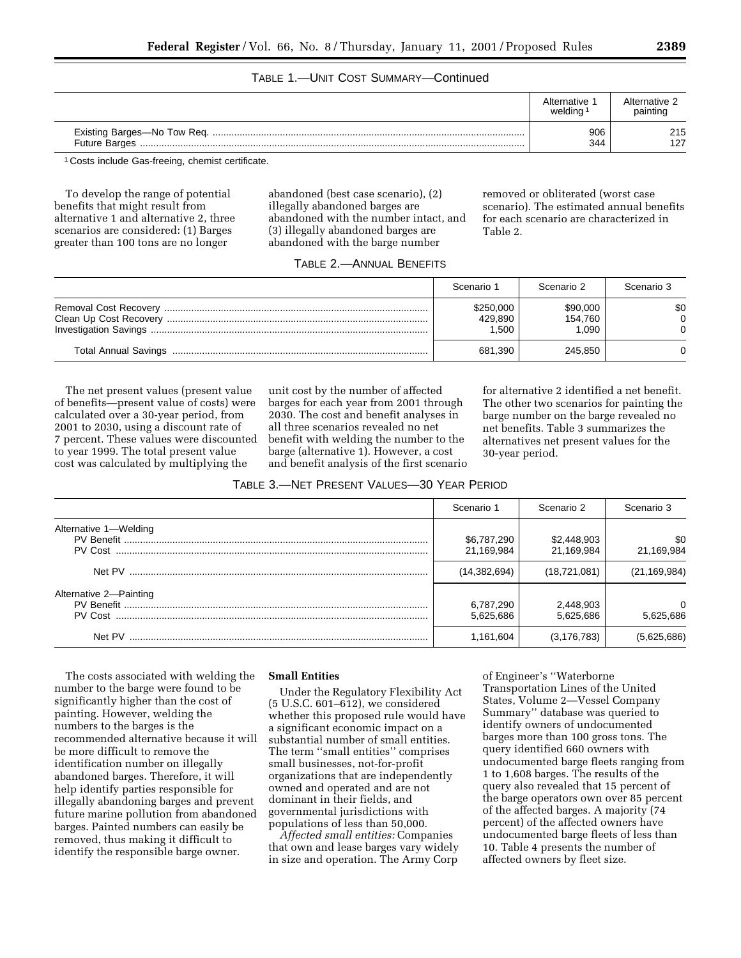# TABLE 1.—UNIT COST SUMMARY—Continued

|               | Alternative<br>welding | Alternative 2<br>painting |
|---------------|------------------------|---------------------------|
| Future Barges | 906<br>344             | 215<br>127                |

1 Costs include Gas-freeing, chemist certificate.

To develop the range of potential benefits that might result from alternative 1 and alternative 2, three scenarios are considered: (1) Barges greater than 100 tons are no longer

abandoned (best case scenario), (2) illegally abandoned barges are abandoned with the number intact, and (3) illegally abandoned barges are abandoned with the barge number

removed or obliterated (worst case scenario). The estimated annual benefits for each scenario are characterized in Table 2.

# TABLE 2.—ANNUAL BENEFITS

| Scenario 1                    | Scenario 2                   | Scenario 3 |
|-------------------------------|------------------------------|------------|
| \$250,000<br>429,890<br>1.500 | \$90,000<br>154.760<br>1.090 | \$0        |
| 681,390                       | 245.850                      |            |

The net present values (present value of benefits—present value of costs) were calculated over a 30-year period, from 2001 to 2030, using a discount rate of 7 percent. These values were discounted to year 1999. The total present value cost was calculated by multiplying the

unit cost by the number of affected barges for each year from 2001 through 2030. The cost and benefit analyses in all three scenarios revealed no net benefit with welding the number to the barge (alternative 1). However, a cost and benefit analysis of the first scenario for alternative 2 identified a net benefit. The other two scenarios for painting the barge number on the barge revealed no net benefits. Table 3 summarizes the alternatives net present values for the 30-year period.

| TABLE 3.-NET PRESENT VALUES-30 YEAR PERIOD |  |  |
|--------------------------------------------|--|--|
|                                            |  |  |

|                        | Scenario 1                | Scenario 2                | Scenario 3            |
|------------------------|---------------------------|---------------------------|-----------------------|
| Alternative 1-Welding  | \$6,787,290<br>21,169,984 | \$2,448,903<br>21,169,984 | \$0<br>21,169,984     |
|                        | (14, 382, 694)            | (18, 721, 081)            | (21, 169, 984)        |
| Alternative 2-Painting | 6,787,290<br>5,625,686    | 2,448,903<br>5.625.686    | $\Omega$<br>5.625.686 |
| Net PV                 | 1,161,604                 | (3,176,783)               | (5.625.686)           |

The costs associated with welding the number to the barge were found to be significantly higher than the cost of painting. However, welding the numbers to the barges is the recommended alternative because it will be more difficult to remove the identification number on illegally abandoned barges. Therefore, it will help identify parties responsible for illegally abandoning barges and prevent future marine pollution from abandoned barges. Painted numbers can easily be removed, thus making it difficult to identify the responsible barge owner.

# **Small Entities**

Under the Regulatory Flexibility Act (5 U.S.C. 601–612), we considered whether this proposed rule would have a significant economic impact on a substantial number of small entities. The term ''small entities'' comprises small businesses, not-for-profit organizations that are independently owned and operated and are not dominant in their fields, and governmental jurisdictions with populations of less than 50,000.

*Affected small entities:* Companies that own and lease barges vary widely in size and operation. The Army Corp

of Engineer's ''Waterborne Transportation Lines of the United States, Volume 2—Vessel Company Summary'' database was queried to identify owners of undocumented barges more than 100 gross tons. The query identified 660 owners with undocumented barge fleets ranging from 1 to 1,608 barges. The results of the query also revealed that 15 percent of the barge operators own over 85 percent of the affected barges. A majority (74 percent) of the affected owners have undocumented barge fleets of less than 10. Table 4 presents the number of affected owners by fleet size.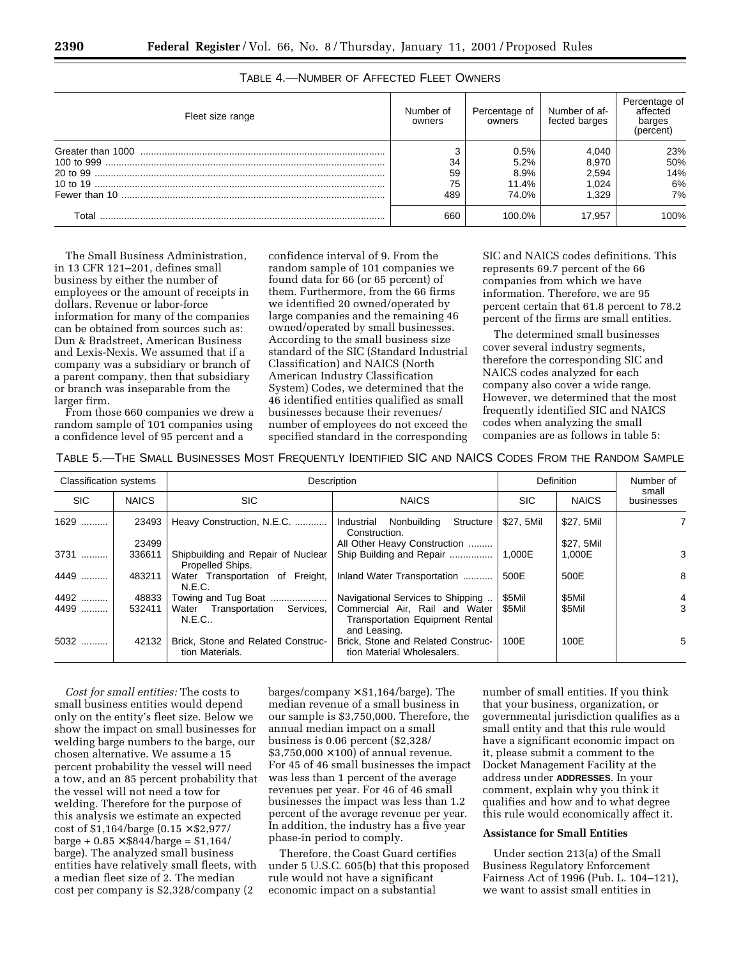| Fleet size range | Number of<br>owners | Percentage of<br>owners       | Number of af-<br>fected barges   | Percentage of<br>affected<br>barges<br>(percent) |
|------------------|---------------------|-------------------------------|----------------------------------|--------------------------------------------------|
|                  | 34<br>59<br>75      | 0.5%<br>5.2%<br>8.9%<br>11.4% | 4.040<br>8.970<br>2.594<br>1.024 | 23%<br>50%<br>14%<br>6%                          |
|                  | 489                 | 74.0%                         | 1.329                            | 7%                                               |
| Total            | 660                 | 100.0%                        | 17.957                           | 100%                                             |

TABLE 4.—NUMBER OF AFFECTED FLEET OWNERS

The Small Business Administration, in 13 CFR 121–201, defines small business by either the number of employees or the amount of receipts in dollars. Revenue or labor-force information for many of the companies can be obtained from sources such as: Dun & Bradstreet, American Business and Lexis-Nexis. We assumed that if a company was a subsidiary or branch of a parent company, then that subsidiary or branch was inseparable from the larger firm.

From those 660 companies we drew a random sample of 101 companies using a confidence level of 95 percent and a

confidence interval of 9. From the random sample of 101 companies we found data for 66 (or 65 percent) of them. Furthermore, from the 66 firms we identified 20 owned/operated by large companies and the remaining 46 owned/operated by small businesses. According to the small business size standard of the SIC (Standard Industrial Classification) and NAICS (North American Industry Classification System) Codes, we determined that the 46 identified entities qualified as small businesses because their revenues/ number of employees do not exceed the specified standard in the corresponding

SIC and NAICS codes definitions. This represents 69.7 percent of the 66 companies from which we have information. Therefore, we are 95 percent certain that 61.8 percent to 78.2 percent of the firms are small entities.

The determined small businesses cover several industry segments, therefore the corresponding SIC and NAICS codes analyzed for each company also cover a wide range. However, we determined that the most frequently identified SIC and NAICS codes when analyzing the small companies are as follows in table 5:

| TABLE 5.-THE SMALL BUSINESSES MOST FREQUENTLY IDENTIFIED SIC AND NAICS CODES FROM THE RANDOM SAMPLE |  |  |
|-----------------------------------------------------------------------------------------------------|--|--|
|-----------------------------------------------------------------------------------------------------|--|--|

| <b>Classification systems</b> |              |                                                        | Description                                                                              |            | Definition   | Number of           |
|-------------------------------|--------------|--------------------------------------------------------|------------------------------------------------------------------------------------------|------------|--------------|---------------------|
| <b>SIC</b>                    | <b>NAICS</b> | SIC.                                                   | <b>NAICS</b>                                                                             | <b>SIC</b> | <b>NAICS</b> | small<br>businesses |
| 1629                          | 23493        | Heavy Construction, N.E.C.                             | Nonbuilding<br>Structure<br>Industrial<br>Construction.                                  | \$27.5Mil  | \$27, 5Mil   |                     |
|                               | 23499        |                                                        | All Other Heavy Construction                                                             |            | \$27, 5Mil   |                     |
| 3731                          | 336611       | Shipbuilding and Repair of Nuclear<br>Propelled Ships. | Ship Building and Repair                                                                 | 1.000E     | 1,000E       | 3                   |
| 4449                          | 483211       | Water Transportation of Freight,<br>N.E.C.             | Inland Water Transportation                                                              | 500E       | 500E         | 8                   |
| 4492                          | 48833        | Towing and Tug Boat                                    | Navigational Services to Shipping                                                        | \$5Mil     | \$5Mil       | 4                   |
| 4499                          | 532411       | Water Transportation Services,<br>N.E.C.               | Commercial Air, Rail and Water<br><b>Transportation Equipment Rental</b><br>and Leasing. | \$5Mil     | \$5Mil       | 3                   |
| 5032                          | 42132        | Brick, Stone and Related Construc-<br>tion Materials.  | Brick, Stone and Related Construc-<br>tion Material Wholesalers.                         | 100E       | 100E         | 5                   |

*Cost for small entities:* The costs to small business entities would depend only on the entity's fleet size. Below we show the impact on small businesses for welding barge numbers to the barge, our chosen alternative. We assume a 15 percent probability the vessel will need a tow, and an 85 percent probability that the vessel will not need a tow for welding. Therefore for the purpose of this analysis we estimate an expected cost of \$1,164/barge (0.15 × \$2,977/  $barge + 0.85 \times $844/barge = $1,164/$ barge). The analyzed small business entities have relatively small fleets, with a median fleet size of 2. The median cost per company is \$2,328/company (2

barges/company  $\times$  \$1,164/barge). The median revenue of a small business in our sample is \$3,750,000. Therefore, the annual median impact on a small business is 0.06 percent (\$2,328/  $$3,750,000 \times 100]$  of annual revenue. For 45 of 46 small businesses the impact was less than 1 percent of the average revenues per year. For 46 of 46 small businesses the impact was less than 1.2 percent of the average revenue per year. In addition, the industry has a five year phase-in period to comply.

Therefore, the Coast Guard certifies under 5 U.S.C. 605(b) that this proposed rule would not have a significant economic impact on a substantial

number of small entities. If you think that your business, organization, or governmental jurisdiction qualifies as a small entity and that this rule would have a significant economic impact on it, please submit a comment to the Docket Management Facility at the address under **ADDRESSES**. In your comment, explain why you think it qualifies and how and to what degree this rule would economically affect it.

# **Assistance for Small Entities**

Under section 213(a) of the Small Business Regulatory Enforcement Fairness Act of 1996 (Pub. L. 104–121), we want to assist small entities in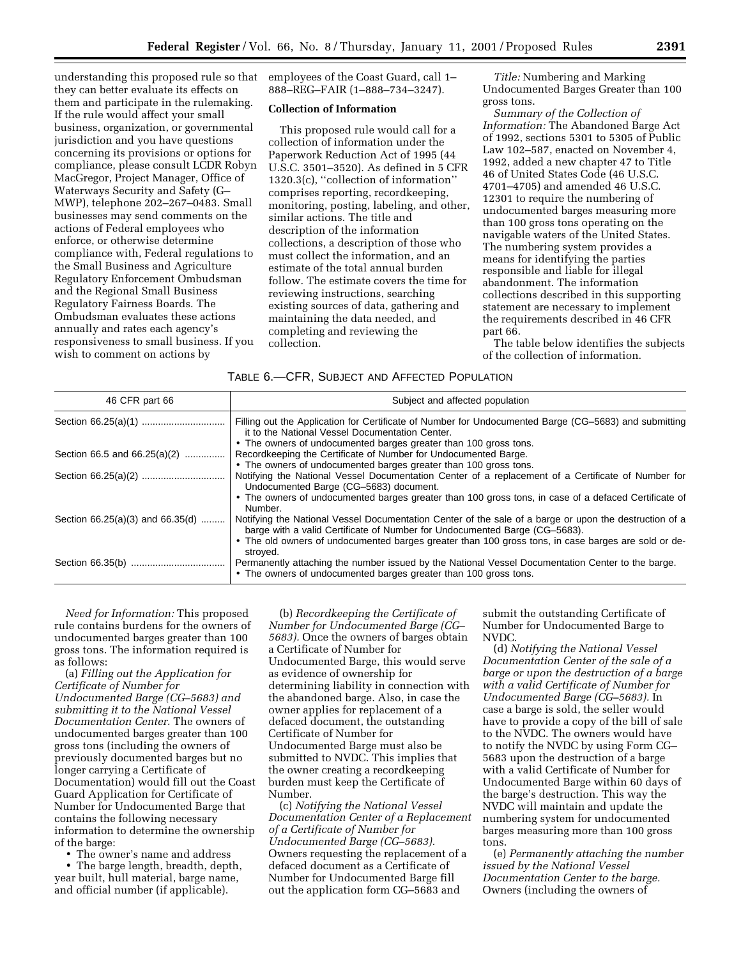understanding this proposed rule so that they can better evaluate its effects on them and participate in the rulemaking. If the rule would affect your small business, organization, or governmental jurisdiction and you have questions concerning its provisions or options for compliance, please consult LCDR Robyn MacGregor, Project Manager, Office of Waterways Security and Safety (G– MWP), telephone 202–267–0483. Small businesses may send comments on the actions of Federal employees who enforce, or otherwise determine compliance with, Federal regulations to the Small Business and Agriculture Regulatory Enforcement Ombudsman and the Regional Small Business Regulatory Fairness Boards. The Ombudsman evaluates these actions annually and rates each agency's responsiveness to small business. If you wish to comment on actions by

employees of the Coast Guard, call 1– 888–REG–FAIR (1–888–734–3247).

#### **Collection of Information**

This proposed rule would call for a collection of information under the Paperwork Reduction Act of 1995 (44 U.S.C. 3501–3520). As defined in 5 CFR 1320.3(c), ''collection of information'' comprises reporting, recordkeeping, monitoring, posting, labeling, and other, similar actions. The title and description of the information collections, a description of those who must collect the information, and an estimate of the total annual burden follow. The estimate covers the time for reviewing instructions, searching existing sources of data, gathering and maintaining the data needed, and completing and reviewing the collection.

*Title:* Numbering and Marking Undocumented Barges Greater than 100 gross tons.

*Summary of the Collection of Information:* The Abandoned Barge Act of 1992, sections 5301 to 5305 of Public Law 102–587, enacted on November 4, 1992, added a new chapter 47 to Title 46 of United States Code (46 U.S.C. 4701–4705) and amended 46 U.S.C. 12301 to require the numbering of undocumented barges measuring more than 100 gross tons operating on the navigable waters of the United States. The numbering system provides a means for identifying the parties responsible and liable for illegal abandonment. The information collections described in this supporting statement are necessary to implement the requirements described in 46 CFR part 66.

The table below identifies the subjects of the collection of information.

| TABLE 6.-CFR, SUBJECT AND AFFECTED POPULATION |  |  |  |
|-----------------------------------------------|--|--|--|
|-----------------------------------------------|--|--|--|

| 46 CFR part 66                       | Subject and affected population                                                                                                                                                      |
|--------------------------------------|--------------------------------------------------------------------------------------------------------------------------------------------------------------------------------------|
|                                      | Filling out the Application for Certificate of Number for Undocumented Barge (CG-5683) and submitting<br>it to the National Vessel Documentation Center.                             |
|                                      | • The owners of undocumented barges greater than 100 gross tons.                                                                                                                     |
| Section 66.5 and 66.25(a)(2)         | Recordkeeping the Certificate of Number for Undocumented Barge.                                                                                                                      |
|                                      | • The owners of undocumented barges greater than 100 gross tons.                                                                                                                     |
|                                      | Notifying the National Vessel Documentation Center of a replacement of a Certificate of Number for<br>Undocumented Barge (CG-5683) document.                                         |
|                                      | • The owners of undocumented barges greater than 100 gross tons, in case of a defaced Certificate of<br>Number.                                                                      |
| Section $66.25(a)(3)$ and $66.35(d)$ | Notifying the National Vessel Documentation Center of the sale of a barge or upon the destruction of a<br>barge with a valid Certificate of Number for Undocumented Barge (CG-5683). |
|                                      | • The old owners of undocumented barges greater than 100 gross tons, in case barges are sold or de-<br>stroved.                                                                      |
|                                      | Permanently attaching the number issued by the National Vessel Documentation Center to the barge.<br>• The owners of undocumented barges greater than 100 gross tons.                |

*Need for Information:* This proposed rule contains burdens for the owners of undocumented barges greater than 100 gross tons. The information required is as follows:

(a) *Filling out the Application for Certificate of Number for Undocumented Barge (CG–5683) and submitting it to the National Vessel Documentation Center.* The owners of undocumented barges greater than 100 gross tons (including the owners of previously documented barges but no longer carrying a Certificate of Documentation) would fill out the Coast Guard Application for Certificate of Number for Undocumented Barge that contains the following necessary information to determine the ownership of the barge:

• The owner's name and address

• The barge length, breadth, depth, year built, hull material, barge name, and official number (if applicable).

(b) *Recordkeeping the Certificate of Number for Undocumented Barge (CG– 5683).* Once the owners of barges obtain a Certificate of Number for Undocumented Barge, this would serve as evidence of ownership for determining liability in connection with the abandoned barge. Also, in case the owner applies for replacement of a defaced document, the outstanding Certificate of Number for Undocumented Barge must also be submitted to NVDC. This implies that the owner creating a recordkeeping burden must keep the Certificate of Number.

(c) *Notifying the National Vessel Documentation Center of a Replacement of a Certificate of Number for Undocumented Barge (CG–5683).* Owners requesting the replacement of a defaced document as a Certificate of Number for Undocumented Barge fill out the application form CG–5683 and

submit the outstanding Certificate of Number for Undocumented Barge to NVDC.

(d) *Notifying the National Vessel Documentation Center of the sale of a barge or upon the destruction of a barge with a valid Certificate of Number for Undocumented Barge (CG–5683).* In case a barge is sold, the seller would have to provide a copy of the bill of sale to the NVDC. The owners would have to notify the NVDC by using Form CG– 5683 upon the destruction of a barge with a valid Certificate of Number for Undocumented Barge within 60 days of the barge's destruction. This way the NVDC will maintain and update the numbering system for undocumented barges measuring more than 100 gross tons.

(e) *Permanently attaching the number issued by the National Vessel Documentation Center to the barge.* Owners (including the owners of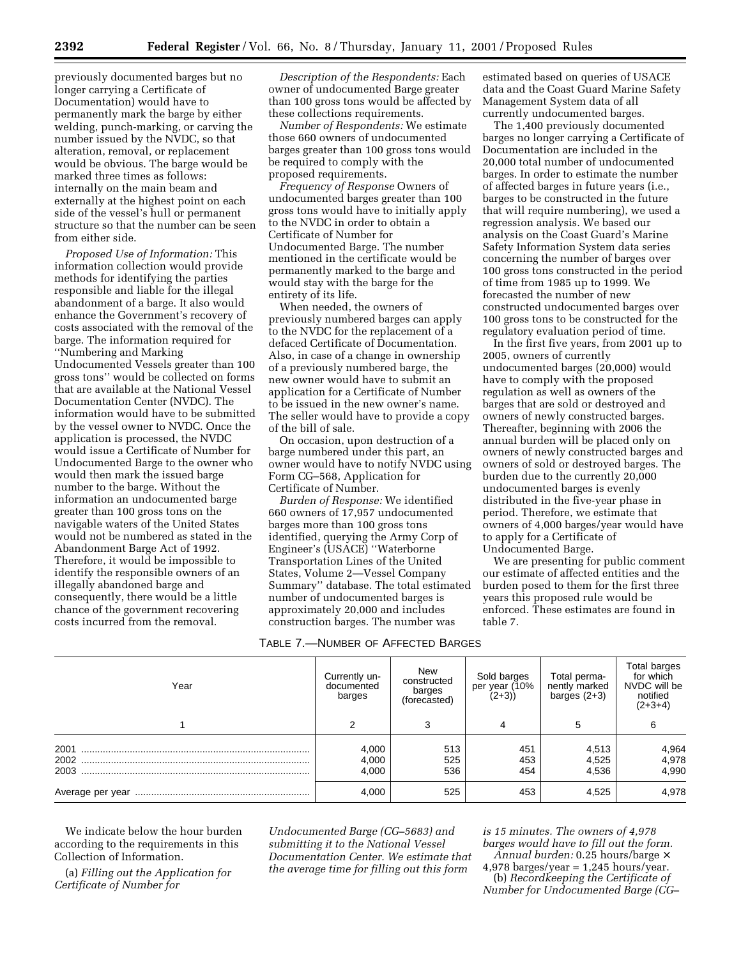previously documented barges but no longer carrying a Certificate of Documentation) would have to permanently mark the barge by either welding, punch-marking, or carving the number issued by the NVDC, so that alteration, removal, or replacement would be obvious. The barge would be marked three times as follows: internally on the main beam and externally at the highest point on each side of the vessel's hull or permanent structure so that the number can be seen from either side.

*Proposed Use of Information:* This information collection would provide methods for identifying the parties responsible and liable for the illegal abandonment of a barge. It also would enhance the Government's recovery of costs associated with the removal of the barge. The information required for ''Numbering and Marking Undocumented Vessels greater than 100 gross tons'' would be collected on forms that are available at the National Vessel Documentation Center (NVDC). The information would have to be submitted by the vessel owner to NVDC. Once the application is processed, the NVDC would issue a Certificate of Number for Undocumented Barge to the owner who would then mark the issued barge number to the barge. Without the information an undocumented barge greater than 100 gross tons on the navigable waters of the United States would not be numbered as stated in the Abandonment Barge Act of 1992. Therefore, it would be impossible to identify the responsible owners of an illegally abandoned barge and consequently, there would be a little chance of the government recovering costs incurred from the removal.

*Description of the Respondents:* Each owner of undocumented Barge greater than 100 gross tons would be affected by these collections requirements.

*Number of Respondents:* We estimate those 660 owners of undocumented barges greater than 100 gross tons would be required to comply with the proposed requirements.

*Frequency of Response* Owners of undocumented barges greater than 100 gross tons would have to initially apply to the NVDC in order to obtain a Certificate of Number for Undocumented Barge. The number mentioned in the certificate would be permanently marked to the barge and would stay with the barge for the entirety of its life.

When needed, the owners of previously numbered barges can apply to the NVDC for the replacement of a defaced Certificate of Documentation. Also, in case of a change in ownership of a previously numbered barge, the new owner would have to submit an application for a Certificate of Number to be issued in the new owner's name. The seller would have to provide a copy of the bill of sale.

On occasion, upon destruction of a barge numbered under this part, an owner would have to notify NVDC using Form CG–568, Application for Certificate of Number.

*Burden of Response:* We identified 660 owners of 17,957 undocumented barges more than 100 gross tons identified, querying the Army Corp of Engineer's (USACE) ''Waterborne Transportation Lines of the United States, Volume 2—Vessel Company Summary'' database. The total estimated number of undocumented barges is approximately 20,000 and includes construction barges. The number was

# TABLE 7.—NUMBER OF AFFECTED BARGES

estimated based on queries of USACE data and the Coast Guard Marine Safety Management System data of all currently undocumented barges.

The 1,400 previously documented barges no longer carrying a Certificate of Documentation are included in the 20,000 total number of undocumented barges. In order to estimate the number of affected barges in future years (i.e., barges to be constructed in the future that will require numbering), we used a regression analysis. We based our analysis on the Coast Guard's Marine Safety Information System data series concerning the number of barges over 100 gross tons constructed in the period of time from 1985 up to 1999. We forecasted the number of new constructed undocumented barges over 100 gross tons to be constructed for the regulatory evaluation period of time.

In the first five years, from 2001 up to 2005, owners of currently undocumented barges (20,000) would have to comply with the proposed regulation as well as owners of the barges that are sold or destroyed and owners of newly constructed barges. Thereafter, beginning with 2006 the annual burden will be placed only on owners of newly constructed barges and owners of sold or destroyed barges. The burden due to the currently 20,000 undocumented barges is evenly distributed in the five-year phase in period. Therefore, we estimate that owners of 4,000 barges/year would have to apply for a Certificate of Undocumented Barge.

We are presenting for public comment our estimate of affected entities and the burden posed to them for the first three years this proposed rule would be enforced. These estimates are found in table 7.

| Year             | Currently un-<br>documented<br>barges | New<br>constructed<br>barges<br>(forecasted) | Sold barges<br>per year (10%<br>$(2+3)$ | Total perma-<br>nently marked<br>barges $(2+3)$ | Total barges<br>for which<br>NVDC will be<br>notified<br>$(2+3+4)$ |
|------------------|---------------------------------------|----------------------------------------------|-----------------------------------------|-------------------------------------------------|--------------------------------------------------------------------|
|                  |                                       |                                              |                                         |                                                 | 6                                                                  |
| 2001<br>2003     | 4,000<br>4,000<br>4.000               | 513<br>525<br>536                            | 451<br>453<br>454                       | 4,513<br>4,525<br>4.536                         | 4,964<br>4,978<br>4,990                                            |
| Average per year | 4.000                                 | 525                                          | 453                                     | 4,525                                           | 4,978                                                              |

We indicate below the hour burden according to the requirements in this Collection of Information.

(a) *Filling out the Application for Certificate of Number for*

*Undocumented Barge (CG–5683) and submitting it to the National Vessel Documentation Center. We estimate that the average time for filling out this form*

*is 15 minutes. The owners of 4,978 barges would have to fill out the form.*

*Annual burden:* 0.25 hours/barge ×  $4,978$  barges/year = 1,245 hours/year. (b) *Recordkeeping the Certificate of Number for Undocumented Barge (CG–*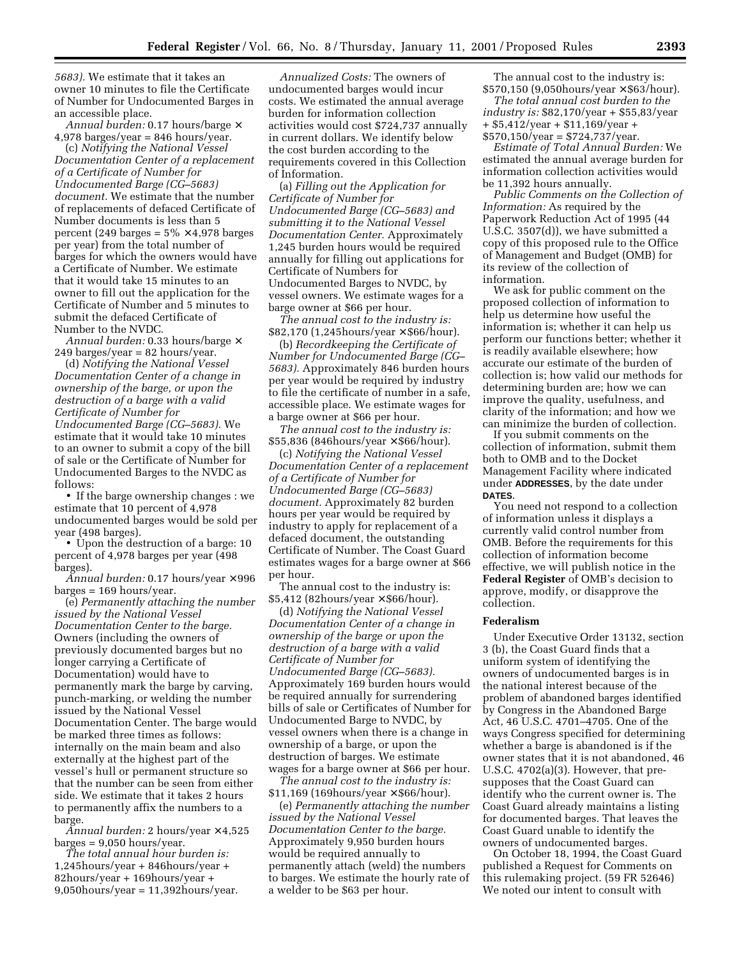*5683).* We estimate that it takes an owner 10 minutes to file the Certificate of Number for Undocumented Barges in an accessible place.

*Annual burden:* 0.17 hours/barge ×  $4,978$  barges/year = 846 hours/year.

(c) *Notifying the National Vessel Documentation Center of a replacement of a Certificate of Number for Undocumented Barge (CG–5683) document.* We estimate that the number of replacements of defaced Certificate of Number documents is less than 5 percent (249 barges =  $5\% \times 4,978$  barges per year) from the total number of barges for which the owners would have a Certificate of Number. We estimate that it would take 15 minutes to an owner to fill out the application for the Certificate of Number and 5 minutes to submit the defaced Certificate of Number to the NVDC.

*Annual burden:* 0.33 hours/barge ×  $249$  barges/year = 82 hours/year.

(d) *Notifying the National Vessel Documentation Center of a change in ownership of the barge, or upon the destruction of a barge with a valid Certificate of Number for Undocumented Barge (CG–5683).* We estimate that it would take 10 minutes to an owner to submit a copy of the bill of sale or the Certificate of Number for Undocumented Barges to the NVDC as follows:

• If the barge ownership changes : we estimate that 10 percent of 4,978 undocumented barges would be sold per year (498 barges).

• Upon the destruction of a barge: 10 percent of 4,978 barges per year (498 barges).

*Annual burden:* 0.17 hours/year × 996  $bargest = 169 hours/year.$ 

(e) *Permanently attaching the number issued by the National Vessel Documentation Center to the barge.* Owners (including the owners of previously documented barges but no longer carrying a Certificate of Documentation) would have to permanently mark the barge by carving, punch-marking, or welding the number issued by the National Vessel Documentation Center. The barge would be marked three times as follows: internally on the main beam and also externally at the highest part of the vessel's hull or permanent structure so that the number can be seen from either side. We estimate that it takes 2 hours to permanently affix the numbers to a barge.

*Annual burden:* 2 hours/year × 4,525  $bargest = 9,050 hours/year.$ 

*The total annual hour burden is:* 1,245hours/year + 846hours/year + 82hours/year + 169hours/year +  $9,050$ hours/year = 11,392hours/year.

*Annualized Costs:* The owners of undocumented barges would incur costs. We estimated the annual average burden for information collection activities would cost \$724,737 annually in current dollars. We identify below the cost burden according to the requirements covered in this Collection of Information.

(a) *Filling out the Application for Certificate of Number for Undocumented Barge (CG–5683) and submitting it to the National Vessel Documentation Center.* Approximately 1,245 burden hours would be required annually for filling out applications for Certificate of Numbers for Undocumented Barges to NVDC, by vessel owners. We estimate wages for a barge owner at \$66 per hour.

*The annual cost to the industry is:* \$82,170 (1,245hours/year × \$66/hour).

(b) *Recordkeeping the Certificate of Number for Undocumented Barge (CG– 5683).* Approximately 846 burden hours per year would be required by industry to file the certificate of number in a safe, accessible place. We estimate wages for a barge owner at \$66 per hour.

*The annual cost to the industry is:*  $$55,836$  (846hours/year  $\times$  \$66/hour).

(c) *Notifying the National Vessel Documentation Center of a replacement of a Certificate of Number for Undocumented Barge (CG–5683) document.* Approximately 82 burden hours per year would be required by industry to apply for replacement of a defaced document, the outstanding Certificate of Number. The Coast Guard estimates wages for a barge owner at \$66 per hour.

The annual cost to the industry is:  $$5,412$  (82hours/year  $\times$  \$66/hour).

(d) *Notifying the National Vessel Documentation Center of a change in ownership of the barge or upon the destruction of a barge with a valid Certificate of Number for Undocumented Barge (CG–5683).* Approximately 169 burden hours would be required annually for surrendering bills of sale or Certificates of Number for Undocumented Barge to NVDC, by vessel owners when there is a change in ownership of a barge, or upon the destruction of barges. We estimate wages for a barge owner at \$66 per hour.

*The annual cost to the industry is:*  $$11,169$  (169hours/year  $\times$  \$66/hour).

(e) *Permanently attaching the number issued by the National Vessel Documentation Center to the barge.* Approximately 9,950 burden hours would be required annually to permanently attach (weld) the numbers to barges. We estimate the hourly rate of a welder to be \$63 per hour.

The annual cost to the industry is:  $$570,150$  (9,050hours/year  $\times$  \$63/hour).

*The total annual cost burden to the industry is:* \$82,170/year + \$55,83/year + \$5,412/year + \$11,169/year +  $$570,150/year = $724,737/year.$ 

*Estimate of Total Annual Burden:* We estimated the annual average burden for information collection activities would be 11,392 hours annually.

*Public Comments on the Collection of Information:* As required by the Paperwork Reduction Act of 1995 (44 U.S.C. 3507(d)), we have submitted a copy of this proposed rule to the Office of Management and Budget (OMB) for its review of the collection of information.

We ask for public comment on the proposed collection of information to help us determine how useful the information is; whether it can help us perform our functions better; whether it is readily available elsewhere; how accurate our estimate of the burden of collection is; how valid our methods for determining burden are; how we can improve the quality, usefulness, and clarity of the information; and how we can minimize the burden of collection.

If you submit comments on the collection of information, submit them both to OMB and to the Docket Management Facility where indicated under **ADDRESSES**, by the date under **DATES**.

You need not respond to a collection of information unless it displays a currently valid control number from OMB. Before the requirements for this collection of information become effective, we will publish notice in the **Federal Register** of OMB's decision to approve, modify, or disapprove the collection.

# **Federalism**

Under Executive Order 13132, section 3 (b), the Coast Guard finds that a uniform system of identifying the owners of undocumented barges is in the national interest because of the problem of abandoned barges identified by Congress in the Abandoned Barge Act, 46 U.S.C. 4701–4705. One of the ways Congress specified for determining whether a barge is abandoned is if the owner states that it is not abandoned, 46 U.S.C. 4702(a)(3). However, that presupposes that the Coast Guard can identify who the current owner is. The Coast Guard already maintains a listing for documented barges. That leaves the Coast Guard unable to identify the owners of undocumented barges.

On October 18, 1994, the Coast Guard published a Request for Comments on this rulemaking project. (59 FR 52646) We noted our intent to consult with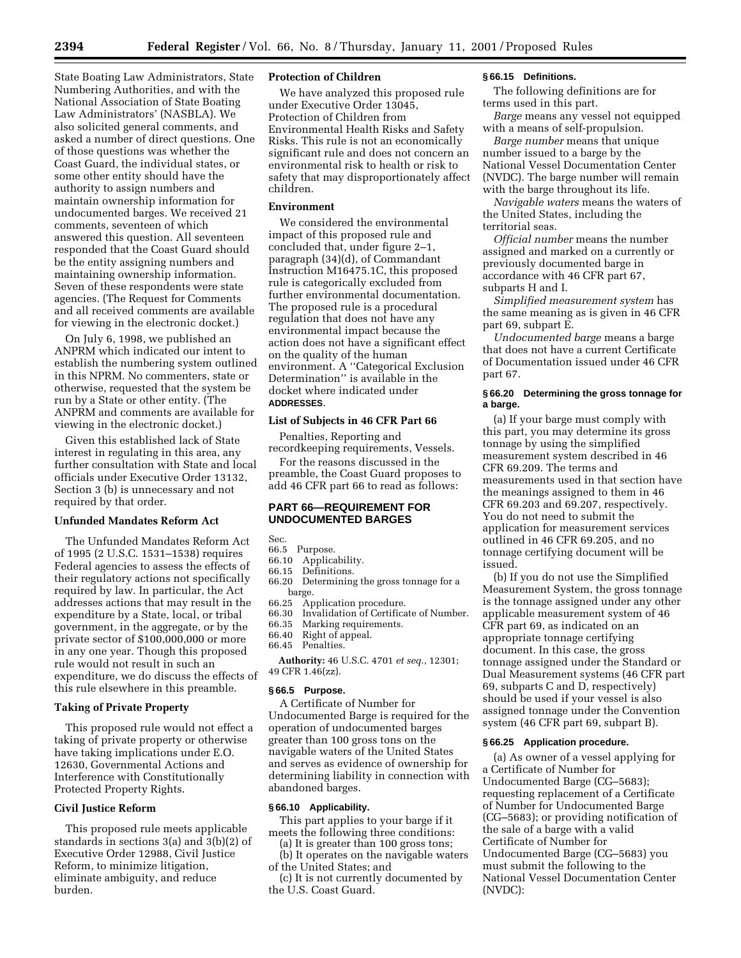State Boating Law Administrators, State Numbering Authorities, and with the National Association of State Boating Law Administrators' (NASBLA). We also solicited general comments, and asked a number of direct questions. One of those questions was whether the Coast Guard, the individual states, or some other entity should have the authority to assign numbers and maintain ownership information for undocumented barges. We received 21 comments, seventeen of which answered this question. All seventeen responded that the Coast Guard should be the entity assigning numbers and maintaining ownership information. Seven of these respondents were state agencies. (The Request for Comments and all received comments are available for viewing in the electronic docket.)

On July 6, 1998, we published an ANPRM which indicated our intent to establish the numbering system outlined in this NPRM. No commenters, state or otherwise, requested that the system be run by a State or other entity. (The ANPRM and comments are available for viewing in the electronic docket.)

Given this established lack of State interest in regulating in this area, any further consultation with State and local officials under Executive Order 13132, Section 3 (b) is unnecessary and not required by that order.

# **Unfunded Mandates Reform Act**

The Unfunded Mandates Reform Act of 1995 (2 U.S.C. 1531–1538) requires Federal agencies to assess the effects of their regulatory actions not specifically required by law. In particular, the Act addresses actions that may result in the expenditure by a State, local, or tribal government, in the aggregate, or by the private sector of \$100,000,000 or more in any one year. Though this proposed rule would not result in such an expenditure, we do discuss the effects of this rule elsewhere in this preamble.

#### **Taking of Private Property**

This proposed rule would not effect a taking of private property or otherwise have taking implications under E.O. 12630, Governmental Actions and Interference with Constitutionally Protected Property Rights.

# **Civil Justice Reform**

This proposed rule meets applicable standards in sections 3(a) and 3(b)(2) of Executive Order 12988, Civil Justice Reform, to minimize litigation, eliminate ambiguity, and reduce burden.

## **Protection of Children**

We have analyzed this proposed rule under Executive Order 13045, Protection of Children from Environmental Health Risks and Safety Risks. This rule is not an economically significant rule and does not concern an environmental risk to health or risk to safety that may disproportionately affect children.

# **Environment**

We considered the environmental impact of this proposed rule and concluded that, under figure 2–1, paragraph (34)(d), of Commandant Instruction M16475.1C, this proposed rule is categorically excluded from further environmental documentation. The proposed rule is a procedural regulation that does not have any environmental impact because the action does not have a significant effect on the quality of the human environment. A ''Categorical Exclusion Determination'' is available in the docket where indicated under **ADDRESSES**.

#### **List of Subjects in 46 CFR Part 66**

Penalties, Reporting and recordkeeping requirements, Vessels.

For the reasons discussed in the

# preamble, the Coast Guard proposes to add 46 CFR part 66 to read as follows:

# **PART 66—REQUIREMENT FOR UNDOCUMENTED BARGES**

- Sec.<br>66.5 Purpose.
- 66.10 Applicability.
- 66.15 Definitions.
- 66.20 Determining the gross tonnage for a barge.<br>66.25 Ap
- Application procedure.
- 66.30 Invalidation of Certificate of Number.
- 66.35 Marking requirements.<br>66.40 Right of appeal.
- 66.40 Right of appeal.
- Penalties.

**Authority:** 46 U.S.C. 4701 *et seq.*, 12301; 49 CFR 1.46(zz).

# **§ 66.5 Purpose.**

A Certificate of Number for Undocumented Barge is required for the operation of undocumented barges greater than 100 gross tons on the navigable waters of the United States and serves as evidence of ownership for determining liability in connection with abandoned barges.

#### **§ 66.10 Applicability.**

This part applies to your barge if it meets the following three conditions:

- (a) It is greater than 100 gross tons; (b) It operates on the navigable waters
- of the United States; and

(c) It is not currently documented by the U.S. Coast Guard.

# **§ 66.15 Definitions.**

The following definitions are for terms used in this part.

*Barge* means any vessel not equipped with a means of self-propulsion.

*Barge number* means that unique number issued to a barge by the National Vessel Documentation Center (NVDC). The barge number will remain with the barge throughout its life.

*Navigable waters* means the waters of the United States, including the territorial seas.

*Official number* means the number assigned and marked on a currently or previously documented barge in accordance with 46 CFR part 67, subparts H and I.

*Simplified measurement system* has the same meaning as is given in 46 CFR part 69, subpart E.

*Undocumented barge* means a barge that does not have a current Certificate of Documentation issued under 46 CFR part 67.

## **§ 66.20 Determining the gross tonnage for a barge.**

(a) If your barge must comply with this part, you may determine its gross tonnage by using the simplified measurement system described in 46 CFR 69.209. The terms and measurements used in that section have the meanings assigned to them in 46 CFR 69.203 and 69.207, respectively. You do not need to submit the application for measurement services outlined in 46 CFR 69.205, and no tonnage certifying document will be issued.

(b) If you do not use the Simplified Measurement System, the gross tonnage is the tonnage assigned under any other applicable measurement system of 46 CFR part 69, as indicated on an appropriate tonnage certifying document. In this case, the gross tonnage assigned under the Standard or Dual Measurement systems (46 CFR part 69, subparts C and D, respectively) should be used if your vessel is also assigned tonnage under the Convention system (46 CFR part 69, subpart B).

#### **§ 66.25 Application procedure.**

(a) As owner of a vessel applying for a Certificate of Number for Undocumented Barge (CG–5683); requesting replacement of a Certificate of Number for Undocumented Barge (CG–5683); or providing notification of the sale of a barge with a valid Certificate of Number for Undocumented Barge (CG–5683) you must submit the following to the National Vessel Documentation Center (NVDC):